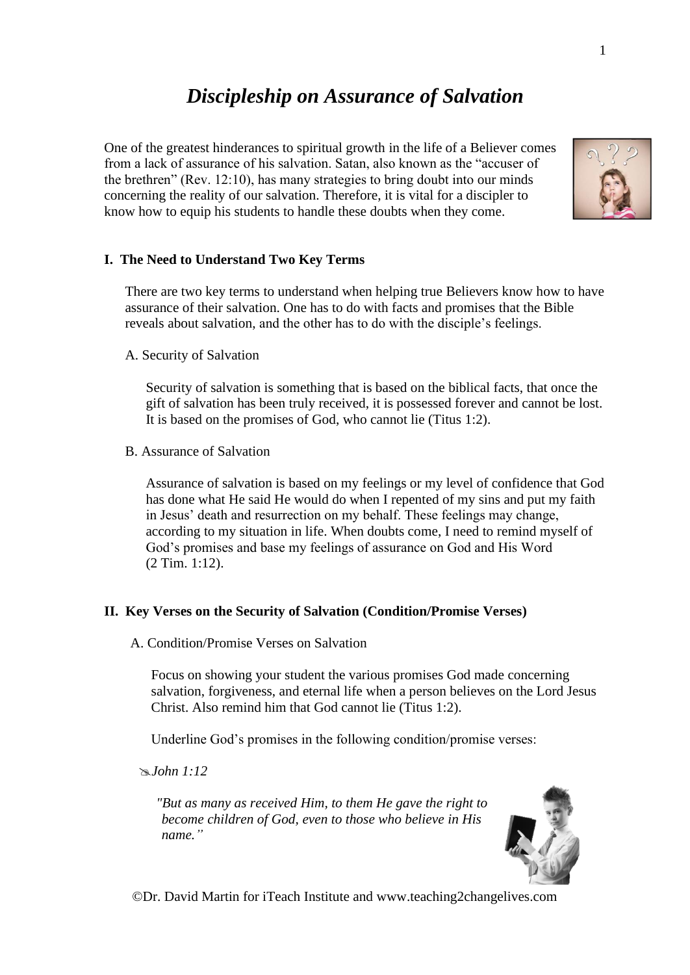# *Discipleship on Assurance of Salvation*

One of the greatest hinderances to spiritual growth in the life of a Believer comes from a lack of assurance of his salvation. Satan, also known as the "accuser of the brethren" (Rev. 12:10), has many strategies to bring doubt into our minds concerning the reality of our salvation. Therefore, it is vital for a discipler to know how to equip his students to handle these doubts when they come.



# **I. The Need to Understand Two Key Terms**

There are two key terms to understand when helping true Believers know how to have assurance of their salvation. One has to do with facts and promises that the Bible reveals about salvation, and the other has to do with the disciple's feelings.

A. Security of Salvation

Security of salvation is something that is based on the biblical facts, that once the gift of salvation has been truly received, it is possessed forever and cannot be lost. It is based on the promises of God, who cannot lie (Titus 1:2).

B. Assurance of Salvation

Assurance of salvation is based on my feelings or my level of confidence that God has done what He said He would do when I repented of my sins and put my faith in Jesus' death and resurrection on my behalf. These feelings may change, according to my situation in life. When doubts come, I need to remind myself of God's promises and base my feelings of assurance on God and His Word (2 Tim. 1:12).

## **II. Key Verses on the Security of Salvation (Condition/Promise Verses)**

A. Condition/Promise Verses on Salvation

Focus on showing your student the various promises God made concerning salvation, forgiveness, and eternal life when a person believes on the Lord Jesus Christ. Also remind him that God cannot lie (Titus 1:2).

Underline God's promises in the following condition/promise verses:

*John 1:12*

*"But as many as received Him, to them He gave the right to become children of God, even to those who believe in His name."*



©Dr. David Martin for iTeach Institute and www.teaching2changelives.com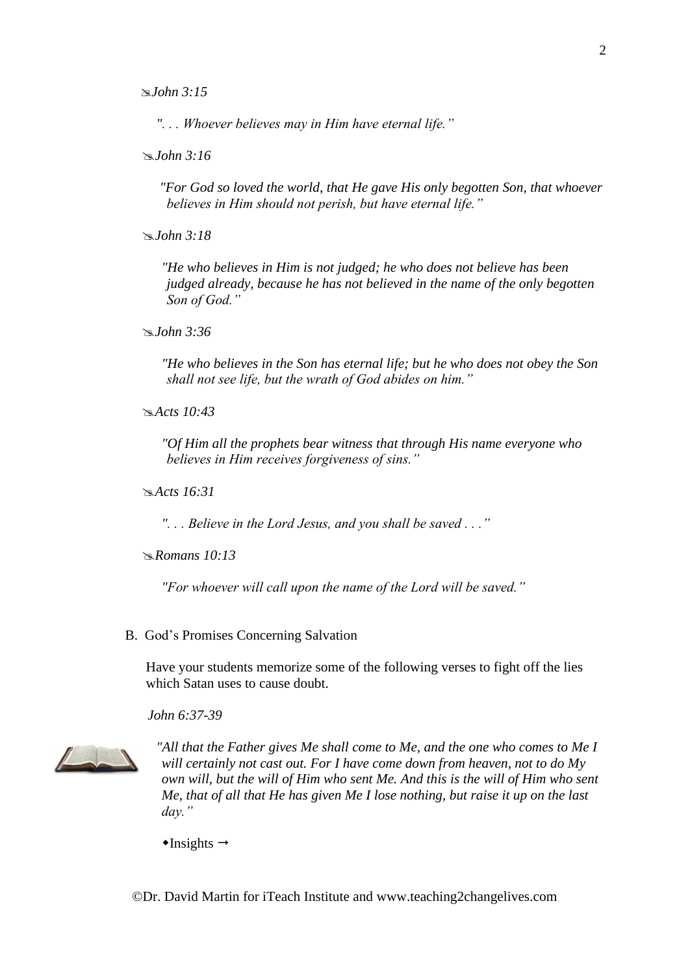*John 3:15*

*". . . Whoever believes may in Him have eternal life."*

*John 3:16*

*"For God so loved the world, that He gave His only begotten Son, that whoever believes in Him should not perish, but have eternal life."*

*John 3:18*

*"He who believes in Him is not judged; he who does not believe has been judged already, because he has not believed in the name of the only begotten Son of God."*

*John 3:36*

*"He who believes in the Son has eternal life; but he who does not obey the Son shall not see life, but the wrath of God abides on him."*

*Acts 10:43*

*"Of Him all the prophets bear witness that through His name everyone who believes in Him receives forgiveness of sins."*

*Acts 16:31*

*". . . Believe in the Lord Jesus, and you shall be saved . . ."*

*Romans 10:13*

*"For whoever will call upon the name of the Lord will be saved."*

#### B. God's Promises Concerning Salvation

Have your students memorize some of the following verses to fight off the lies which Satan uses to cause doubt.

*John 6:37-39*



*"All that the Father gives Me shall come to Me, and the one who comes to Me I will certainly not cast out. For I have come down from heaven, not to do My own will, but the will of Him who sent Me. And this is the will of Him who sent Me, that of all that He has given Me I lose nothing, but raise it up on the last day."*

 $\triangleleft$ Insights  $\rightarrow$ 

©Dr. David Martin for iTeach Institute and www.teaching2changelives.com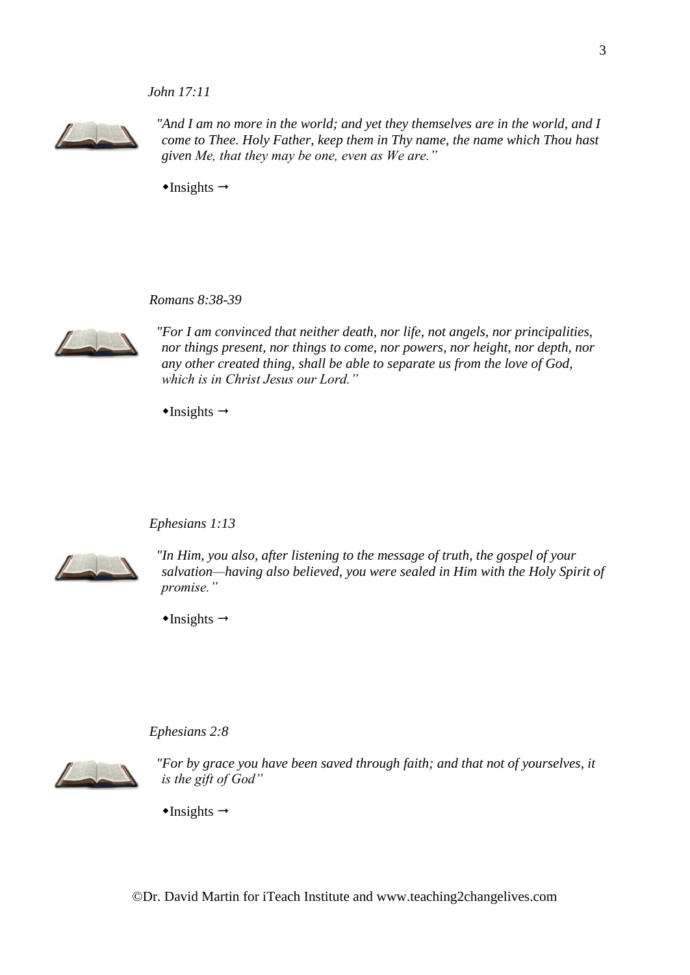## *John 17:11*



"And I am no more in the world; and yet they themselves are in the world, and I *come to Thee. Holy Father, keep them in Thy name, the name which Thou hast given Me, that they may be one, even as We are."*

 $\triangleleft$ Insights  $\rightarrow$ 

*Romans 8:38-39*



*"For I am convinced that neither death, nor life, not angels, nor principalities, nor things present, nor things to come, nor powers, nor height, nor depth, nor any other created thing, shall be able to separate us from the love of God, which is in Christ Jesus our Lord."*

 $\triangleleft$ Insights  $\rightarrow$ 

#### *Ephesians 1:13*



*"In Him, you also, after listening to the message of truth, the gospel of your salvation—having also believed, you were sealed in Him with the Holy Spirit of promise."*

 $\triangleleft$ Insights  $\rightarrow$ 

#### *Ephesians 2:8*



*"For by grace you have been saved through faith; and that not of yourselves, it is the gift of God"*

 $\triangleleft$ Insights  $\rightarrow$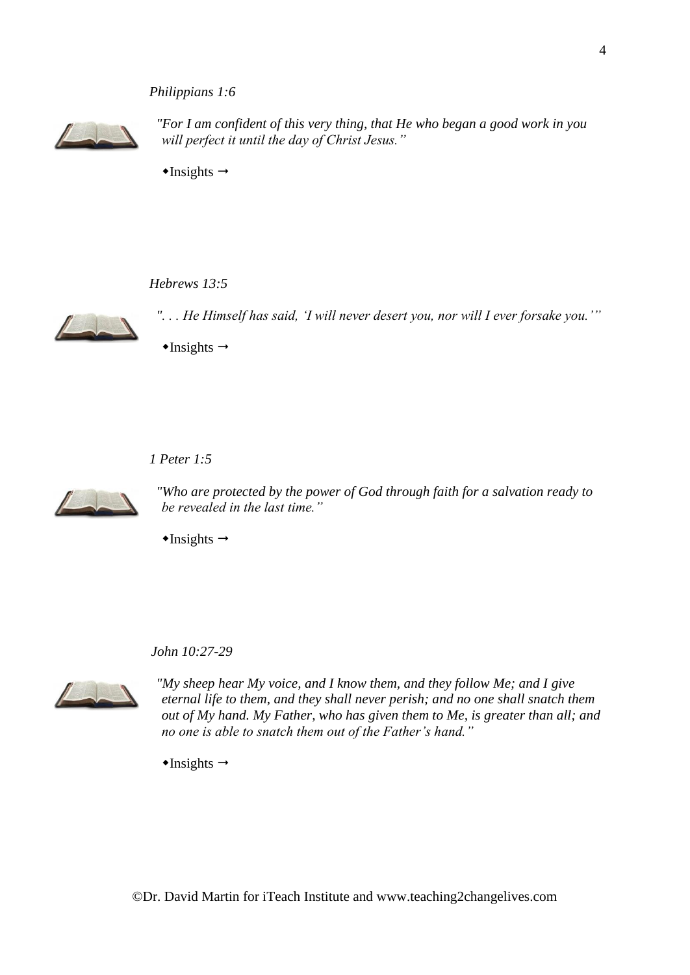## *Philippians 1:6*



*"For I am confident of this very thing, that He who began a good work in you will perfect it until the day of Christ Jesus."*

 $\triangle$ Insights  $\rightarrow$ 

#### *Hebrews 13:5*



*". . . He Himself has said, 'I will never desert you, nor will I ever forsake you.'"*

 $\triangle$ Insights  $\rightarrow$ 

*1 Peter 1:5*



*"Who are protected by the power of God through faith for a salvation ready to be revealed in the last time."*

 $\triangleleft$ Insights  $\rightarrow$ 

*John 10:27-29*



*"My sheep hear My voice, and I know them, and they follow Me; and I give eternal life to them, and they shall never perish; and no one shall snatch them out of My hand. My Father, who has given them to Me, is greater than all; and no one is able to snatch them out of the Father's hand."*

 $\triangleleft$ Insights  $\rightarrow$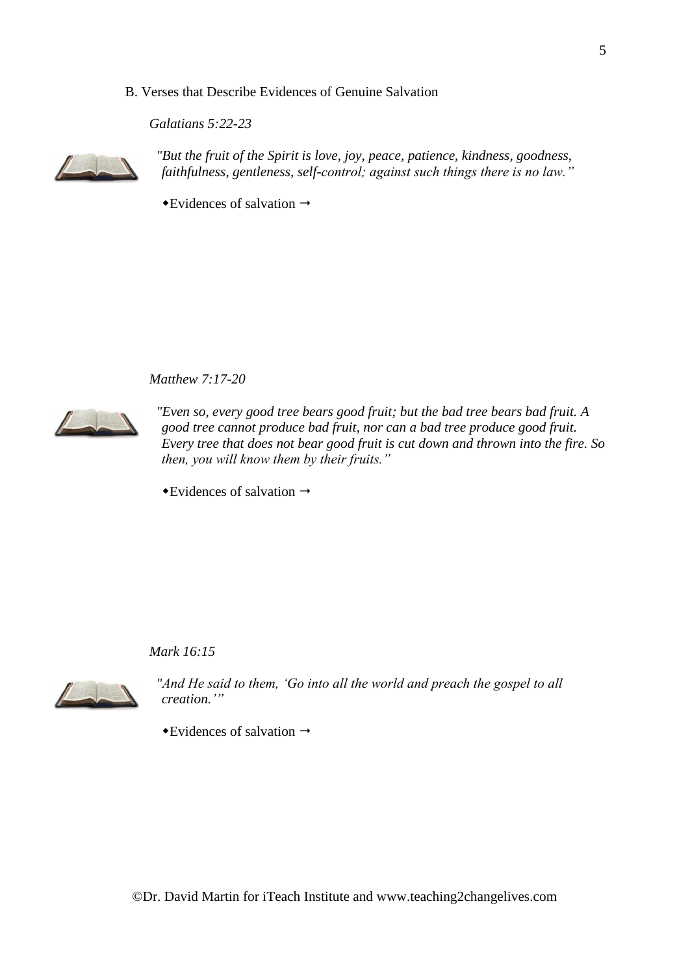## B. Verses that Describe Evidences of Genuine Salvation

*Galatians 5:22-23*



*"But the fruit of the Spirit is love, joy, peace, patience, kindness, goodness, faithfulness, gentleness, self-control; against such things there is no law."*

 $\rightarrow$  Evidences of salvation  $\rightarrow$ 

*Matthew 7:17-20*



*"Even so, every good tree bears good fruit; but the bad tree bears bad fruit. A good tree cannot produce bad fruit, nor can a bad tree produce good fruit. Every tree that does not bear good fruit is cut down and thrown into the fire. So then, you will know them by their fruits."*

 $\rightarrow$ Evidences of salvation  $\rightarrow$ 

*Mark 16:15*



*"And He said to them, 'Go into all the world and preach the gospel to all creation.'"*

 $\rightarrow$ Evidences of salvation  $\rightarrow$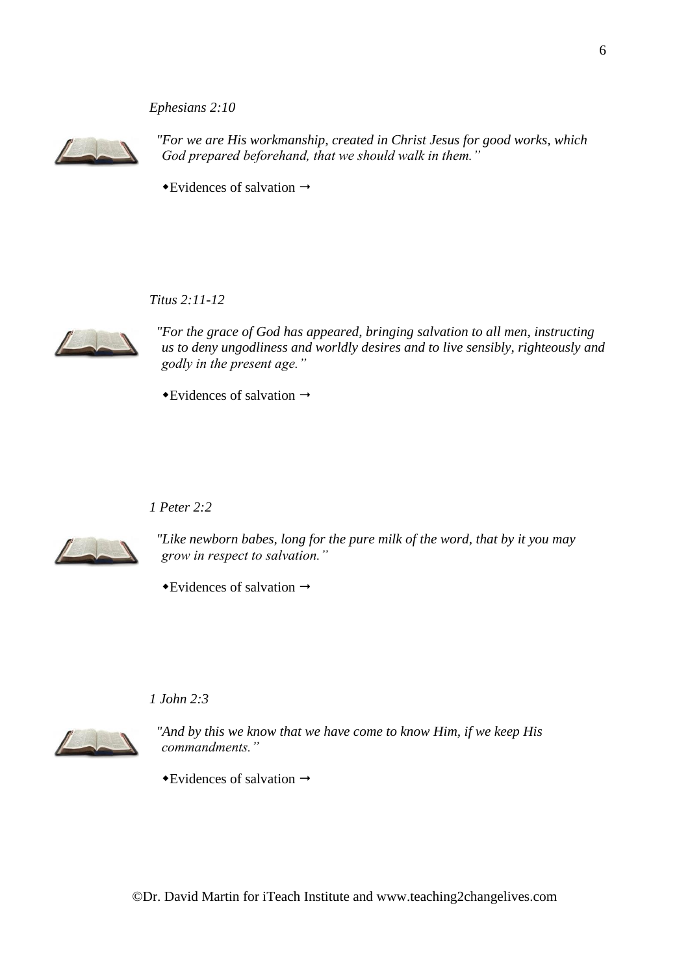# *Ephesians 2:10*



*"For we are His workmanship, created in Christ Jesus for good works, which God prepared beforehand, that we should walk in them."*

 $\rightarrow$ Evidences of salvation  $\rightarrow$ 

*Titus 2:11-12*



*"For the grace of God has appeared, bringing salvation to all men, instructing us to deny ungodliness and worldly desires and to live sensibly, righteously and godly in the present age."*

 $\rightarrow$  Evidences of salvation  $\rightarrow$ 

## *1 Peter 2:2*



*"Like newborn babes, long for the pure milk of the word, that by it you may grow in respect to salvation."*

 $\rightarrow$  Evidences of salvation  $\rightarrow$ 

### *1 John 2:3*



*"And by this we know that we have come to know Him, if we keep His commandments."*

 $\rightarrow$ Evidences of salvation  $\rightarrow$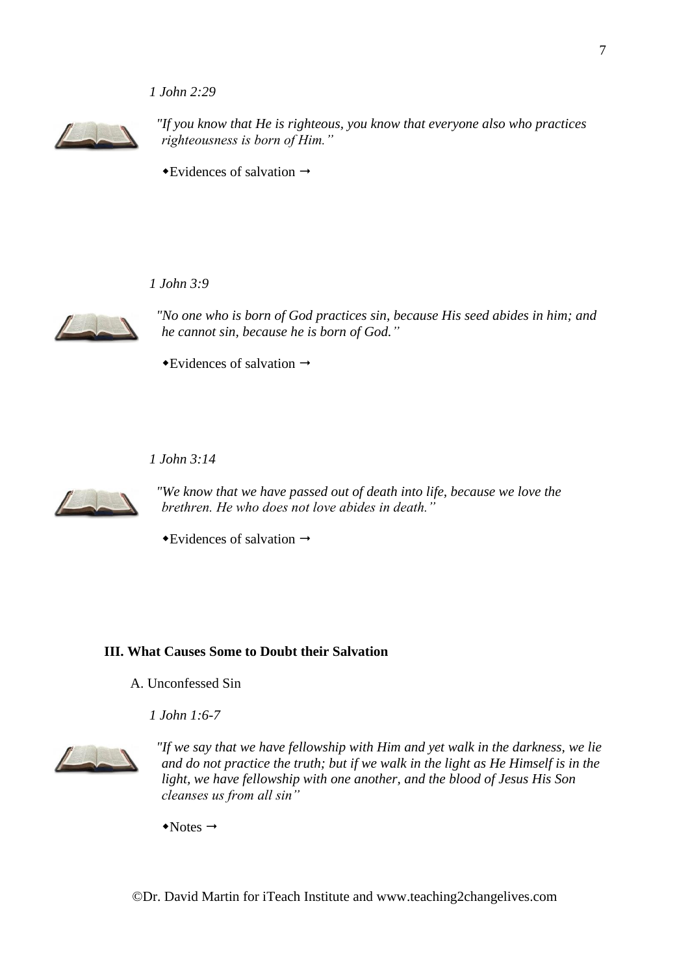## *1 John 2:29*



*"If you know that He is righteous, you know that everyone also who practices righteousness is born of Him."*

 $\rightarrow$  Evidences of salvation  $\rightarrow$ 

*1 John 3:9*



*"No one who is born of God practices sin, because His seed abides in him; and he cannot sin, because he is born of God."*

 $\rightarrow$  Evidences of salvation  $\rightarrow$ 

*1 John 3:14*



*"We know that we have passed out of death into life, because we love the brethren. He who does not love abides in death."*

 $\rightarrow$  Evidences of salvation  $\rightarrow$ 

## **III. What Causes Some to Doubt their Salvation**

A. Unconfessed Sin

*1 John 1:6-7*



*"If we say that we have fellowship with Him and yet walk in the darkness, we lie and do not practice the truth; but if we walk in the light as He Himself is in the light, we have fellowship with one another, and the blood of Jesus His Son cleanses us from all sin"*

 $\rightarrow$ Notes  $\rightarrow$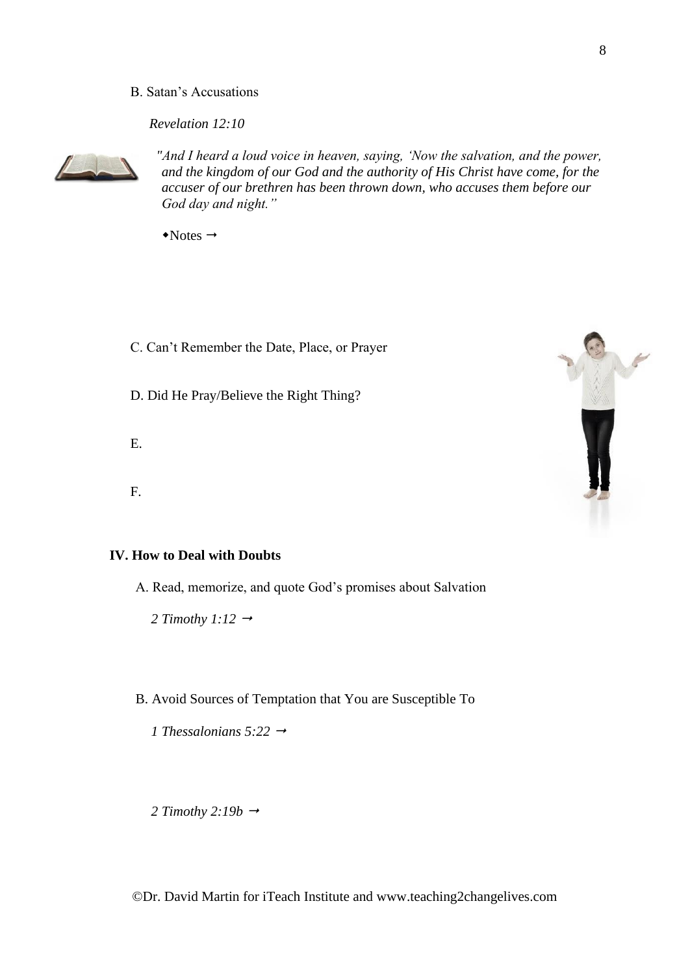## B. Satan's Accusations

*Revelation 12:10*



*"And I heard a loud voice in heaven, saying, 'Now the salvation, and the power, and the kingdom of our God and the authority of His Christ have come, for the accuser of our brethren has been thrown down, who accuses them before our God day and night."*

 $\rightarrow$ Notes  $\rightarrow$ 

C. Can't Remember the Date, Place, or Prayer

D. Did He Pray/Believe the Right Thing?

- E.
- F.

# **IV. How to Deal with Doubts**

A. Read, memorize, and quote God's promises about Salvation

*2 Timothy 1:12*

B. Avoid Sources of Temptation that You are Susceptible To

*1 Thessalonians 5:22* 

2 Timothy 2:19b  $\rightarrow$